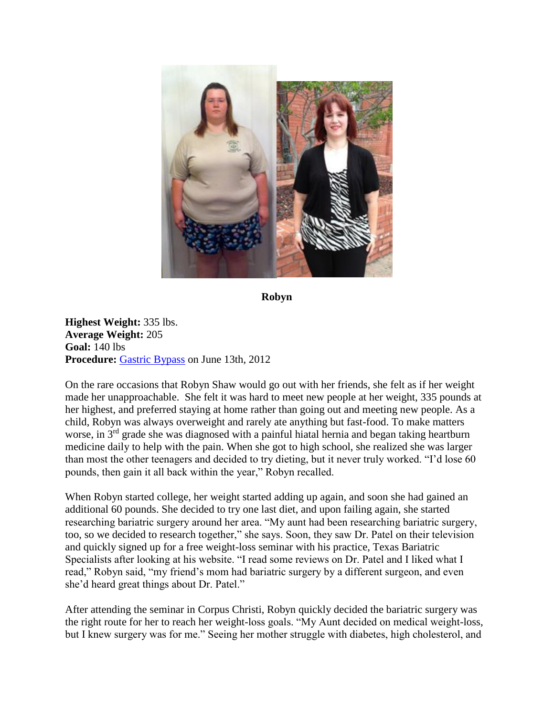

**Robyn**

**Highest Weight:** 335 lbs. **Average Weight:** 205 **Goal:** 140 lbs **Procedure:** [Gastric Bypass](http://texasbariatricspecialists.com/gastric-bypass-surgery-san-antonio) on June 13th, 2012

On the rare occasions that Robyn Shaw would go out with her friends, she felt as if her weight made her unapproachable. She felt it was hard to meet new people at her weight, 335 pounds at her highest, and preferred staying at home rather than going out and meeting new people. As a child, Robyn was always overweight and rarely ate anything but fast-food. To make matters worse, in 3<sup>rd</sup> grade she was diagnosed with a painful hiatal hernia and began taking heartburn medicine daily to help with the pain. When she got to high school, she realized she was larger than most the other teenagers and decided to try dieting, but it never truly worked. "I'd lose 60 pounds, then gain it all back within the year," Robyn recalled.

When Robyn started college, her weight started adding up again, and soon she had gained an additional 60 pounds. She decided to try one last diet, and upon failing again, she started researching bariatric surgery around her area. "My aunt had been researching bariatric surgery, too, so we decided to research together," she says. Soon, they saw Dr. Patel on their television and quickly signed up for a free weight-loss seminar with his practice, Texas Bariatric Specialists after looking at his website. "I read some reviews on Dr. Patel and I liked what I read," Robyn said, "my friend's mom had bariatric surgery by a different surgeon, and even she'd heard great things about Dr. Patel."

After attending the seminar in Corpus Christi, Robyn quickly decided the bariatric surgery was the right route for her to reach her weight-loss goals. "My Aunt decided on medical weight-loss, but I knew surgery was for me." Seeing her mother struggle with diabetes, high cholesterol, and